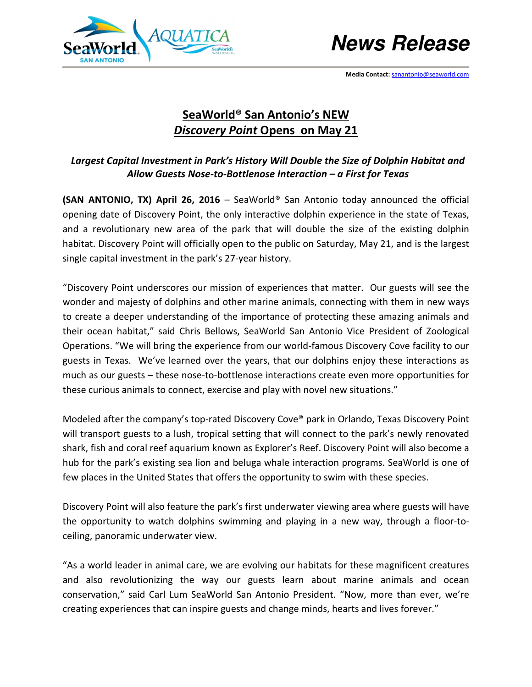

## **News Release**

Media Contact: sanantonio@seaworld.com

## SeaWorld® San Antonio's NEW Discovery Point Opens on May 21

## Largest Capital Investment in Park's History Will Double the Size of Dolphin Habitat and Allow Guests Nose-to-Bottlenose Interaction – a First for Texas

(SAN ANTONIO, TX) April 26, 2016 – SeaWorld® San Antonio today announced the official opening date of Discovery Point, the only interactive dolphin experience in the state of Texas, and a revolutionary new area of the park that will double the size of the existing dolphin habitat. Discovery Point will officially open to the public on Saturday, May 21, and is the largest single capital investment in the park's 27-year history.

"Discovery Point underscores our mission of experiences that matter. Our guests will see the wonder and majesty of dolphins and other marine animals, connecting with them in new ways to create a deeper understanding of the importance of protecting these amazing animals and their ocean habitat," said Chris Bellows, SeaWorld San Antonio Vice President of Zoological Operations. "We will bring the experience from our world-famous Discovery Cove facility to our guests in Texas. We've learned over the years, that our dolphins enjoy these interactions as much as our guests – these nose-to-bottlenose interactions create even more opportunities for these curious animals to connect, exercise and play with novel new situations."

Modeled after the company's top-rated Discovery Cove® park in Orlando, Texas Discovery Point will transport guests to a lush, tropical setting that will connect to the park's newly renovated shark, fish and coral reef aquarium known as Explorer's Reef. Discovery Point will also become a hub for the park's existing sea lion and beluga whale interaction programs. SeaWorld is one of few places in the United States that offers the opportunity to swim with these species.

Discovery Point will also feature the park's first underwater viewing area where guests will have the opportunity to watch dolphins swimming and playing in a new way, through a floor-toceiling, panoramic underwater view.

"As a world leader in animal care, we are evolving our habitats for these magnificent creatures and also revolutionizing the way our guests learn about marine animals and ocean conservation," said Carl Lum SeaWorld San Antonio President. "Now, more than ever, we're creating experiences that can inspire guests and change minds, hearts and lives forever."